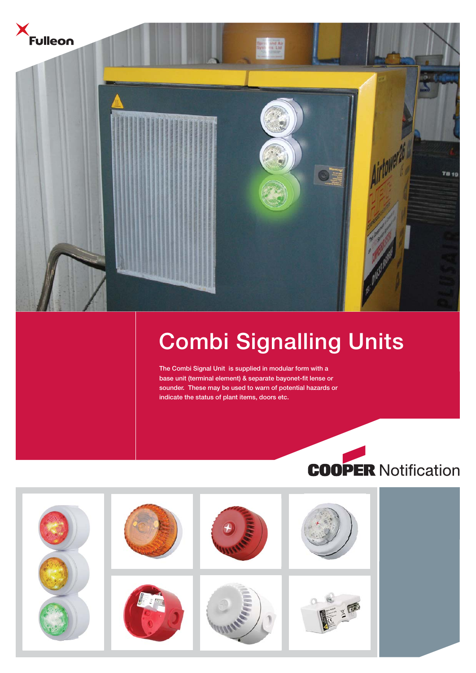



# **Combi Signalling Units**

**The Combi Signal Unit is supplied in modular form with a base unit (terminal element) & separate bayonet-fit lense or sounder. These may be used to warn of potential hazards or indicate the status of plant items, doors etc.**